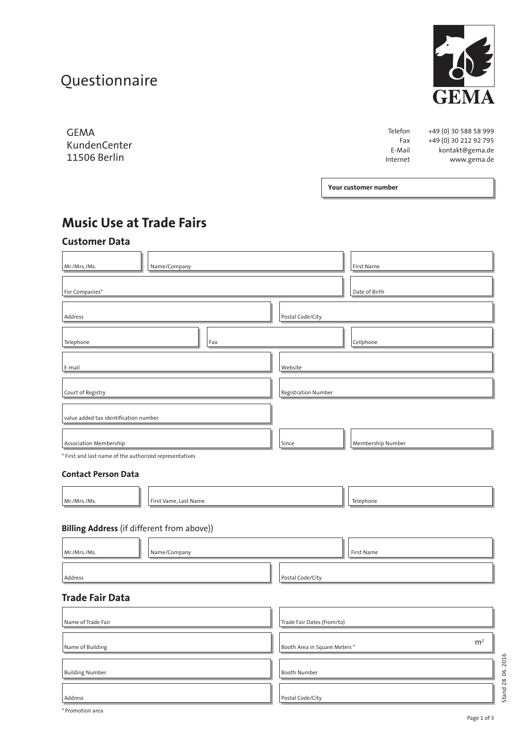# **Questionnaire**



GEMA KundenCenter 11506 Berlin

Telefon +49 (0) 30 588 58 999<br>Fax +49 (0) 30 212 92 795  $+49(0)$  30 212 92 795 E-Mail kontakt@gema.de Internet www.gema.de

**Your customer number**

# **Music Use at Trade Fairs**

# **Customer Data**

| Name/Company<br>Mr./Mrs./Ms.                            |                  |  | First Name        |  |
|---------------------------------------------------------|------------------|--|-------------------|--|
| For Companies*                                          |                  |  | Date of Birth     |  |
| Address                                                 | Postal Code/City |  |                   |  |
| Telephone<br>Fax                                        |                  |  | Cellphone         |  |
| E-mail                                                  | Website          |  |                   |  |
| Registration Number<br>Court of Registry                |                  |  |                   |  |
| value added tax identification number                   |                  |  |                   |  |
| <b>Association Membership</b>                           | Since            |  | Membership Number |  |
| * First and last name of the authorized representatives |                  |  |                   |  |
| <b>Contact Person Data</b>                              |                  |  |                   |  |
| Mr./Mrs./Ms.<br>First Vame, Last Name                   |                  |  | Telephone         |  |

### **Billing Address** (if different from above))

| Name/Company<br>Mr./Mrs./Ms. | First Name                                     |
|------------------------------|------------------------------------------------|
| Address                      | Postal Code/City                               |
| <b>Trade Fair Data</b>       |                                                |
| Name of Trade Fair           | Trade Fair Dates (from/to)                     |
| Name of Building             | m <sup>2</sup><br>Booth Area in Square Meters* |
| <b>Building Number</b>       | <b>Booth Number</b>                            |
| Address                      | Postal Code/City                               |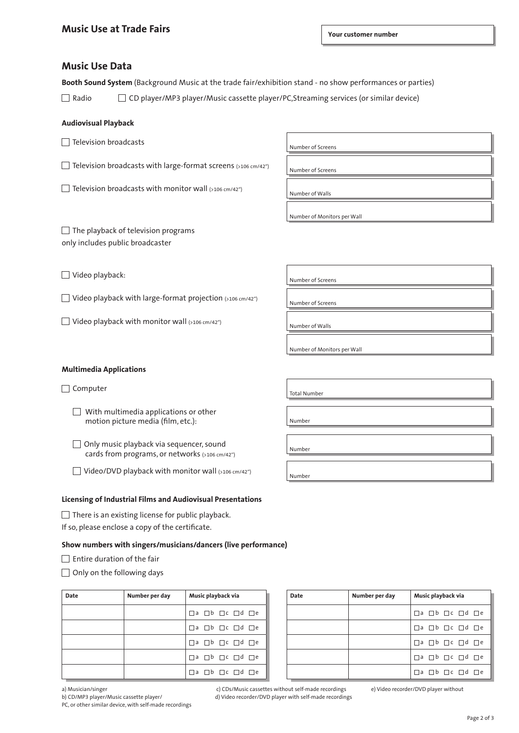## **Music Use Data**

**Booth Sound System** (Background Music at the trade fair/exhibition stand - no show performances or parties)

Radio  $\Box$  CD player/MP3 player/Music cassette player/PC, Streaming services (or similar device)

#### **Audiovisual Playback**

 $\Box$  Television broadcasts

Television broadcasts with large-format screens (>106 cm/42") Number of Screens

 $\Box$  Television broadcasts with monitor wall  $(5106 \text{ cm}/42^\circ)$ 

Number of Screens

L

Number of Monitors per Wall

 $\Box$  The playback of television programs only includes public broadcaster

□ Video playback: Number of Screens

 $\Box$  Video playback with large-format projection (>106 cm/42")  $\Box$  Number of Screens

 $\Box$  Video playback with monitor wall  $(5106 \text{ cm}/42^\circ)$ 

Number of Monitors per Wall

**Multimedia Applications**

 $\Box$  With multimedia applications or other motion picture media (film, etc.):

 $\Box$  Only music playback via sequencer, sound Only music playback via sequencel, sound<br>cards from programs, or networks  $(5106 \text{ cm}/42^{\circ})$ 

 $\Box$  Video/DVD playback with monitor wall (>106 cm/42")  $\bigg|$  Number

#### **Licensing of Industrial Films and Audiovisual Presentations**

 $\Box$  There is an existing license for public playback.

If so, please enclose a copy of the certificate.

#### **Show numbers with singers/musicians/dancers (live performance)**

- $\Box$  Entire duration of the fair
- $\Box$  Only on the following days

| Date | Number per day | Music playback via                           |  |  |
|------|----------------|----------------------------------------------|--|--|
|      |                | $\Box$ a $\Box$ b $\Box$ c $\Box$ d $\Box$ e |  |  |
|      |                | $\Box$ a $\Box$ b $\Box$ c $\Box$ d $\Box$ e |  |  |
|      |                | $\Box$ a $\Box$ b $\Box$ c $\Box$ d $\Box$ e |  |  |
|      |                | $\Box$ a $\Box$ b $\Box$ c $\Box$ d $\Box$ e |  |  |
|      |                | $\Box$ a $\Box$ b $\Box$ c $\Box$ d $\Box$ e |  |  |

| Date | Number per day | Music playback via                           |  |  |
|------|----------------|----------------------------------------------|--|--|
|      |                | $\Box$ a $\Box$ b $\Box$ c $\Box$ d $\Box$ e |  |  |
|      |                | $\Box$ a $\Box$ b $\Box$ c $\Box$ d $\Box$ e |  |  |
|      |                | $\Box$ a $\Box$ b $\Box$ c $\Box$ d $\Box$ e |  |  |
|      |                | $\Box$ a $\Box$ b $\Box$ c $\Box$ d $\Box$ e |  |  |
|      |                | $\Box$ a $\Box$ b $\Box$ c $\Box$ d $\Box$ e |  |  |

PC, or other similar device, with self-made recordings

a) Musician/singer c) CDs/Music cassettes without self-made recordings e) Video recorder/DVD player without b) CD/MP3 player/Music cassette player/ d) Video recorder/DVD player with self-made recordings

Page 2 of 3

Computer and Total Number

Number